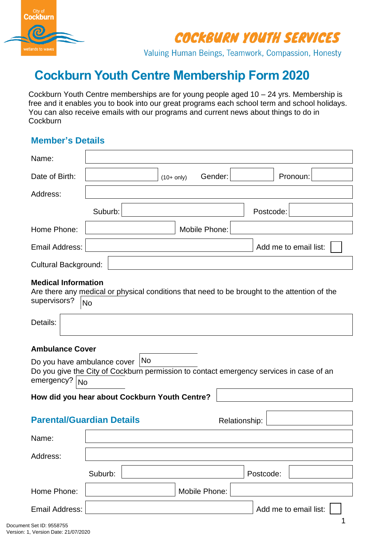

Valuing Human Beings, Teamwork, Compassion, Honesty

# **Cockburn Youth Centre Membership Form 2020**

Cockburn Youth Centre memberships are for young people aged 10 – 24 yrs. Membership is free and it enables you to book into our great programs each school term and school holidays. You can also receive emails with our programs and current news about things to do in **Cockburn** 

### **Member's Details**

 $\mathsf{r}$ 

| Name:                                                            |                                                                                                                             |
|------------------------------------------------------------------|-----------------------------------------------------------------------------------------------------------------------------|
| Date of Birth:                                                   | Gender:<br>Pronoun:<br>$(10+$ only)                                                                                         |
| Address:                                                         |                                                                                                                             |
|                                                                  | Suburb:<br>Postcode:                                                                                                        |
| Home Phone:                                                      | Mobile Phone:                                                                                                               |
| Email Address:                                                   | Add me to email list:                                                                                                       |
| <b>Cultural Background:</b>                                      |                                                                                                                             |
| <b>Medical Information</b><br>supervisors?                       | Are there any medical or physical conditions that need to be brought to the attention of the<br><b>No</b>                   |
| Details:                                                         |                                                                                                                             |
| <b>Ambulance Cover</b>                                           |                                                                                                                             |
| emergency? No                                                    | Do you have ambulance cover   No<br>Do you give the City of Cockburn permission to contact emergency services in case of an |
|                                                                  | How did you hear about Cockburn Youth Centre?                                                                               |
|                                                                  | <b>Parental/Guardian Details</b><br>Relationship:                                                                           |
| Name:                                                            |                                                                                                                             |
| Address:                                                         |                                                                                                                             |
|                                                                  | Suburb:<br>Postcode:                                                                                                        |
| Home Phone:                                                      | Mobile Phone:                                                                                                               |
| <b>Email Address:</b>                                            | Add me to email list:                                                                                                       |
| Document Set ID: 9558755<br>Version: 1, Version Date: 21/07/2020 |                                                                                                                             |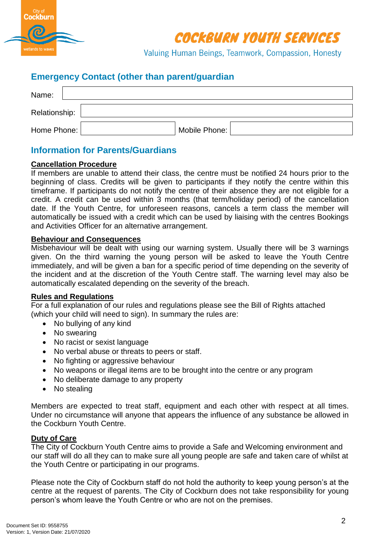

Valuing Human Beings, Teamwork, Compassion, Honesty

## **Emergency Contact (other than parent/guardian**

| Name:         |               |  |
|---------------|---------------|--|
| Relationship: |               |  |
| Home Phone:   | Mobile Phone: |  |

## **Information for Parents/Guardians**

#### **Cancellation Procedure**

If members are unable to attend their class, the centre must be notified 24 hours prior to the beginning of class. Credits will be given to participants if they notify the centre within this timeframe. If participants do not notify the centre of their absence they are not eligible for a credit. A credit can be used within 3 months (that term/holiday period) of the cancellation date. If the Youth Centre, for unforeseen reasons, cancels a term class the member will automatically be issued with a credit which can be used by liaising with the centres Bookings and Activities Officer for an alternative arrangement.

#### **Behaviour and Consequences**

Misbehaviour will be dealt with using our warning system. Usually there will be 3 warnings given. On the third warning the young person will be asked to leave the Youth Centre immediately, and will be given a ban for a specific period of time depending on the severity of the incident and at the discretion of the Youth Centre staff. The warning level may also be automatically escalated depending on the severity of the breach.

#### **Rules and Regulations**

For a full explanation of our rules and regulations please see the Bill of Rights attached (which your child will need to sign). In summary the rules are:

- No bullying of any kind
- No swearing
- No racist or sexist language
- No verbal abuse or threats to peers or staff.
- No fighting or aggressive behaviour
- No weapons or illegal items are to be brought into the centre or any program
- No deliberate damage to any property
- No stealing

Members are expected to treat staff, equipment and each other with respect at all times. Under no circumstance will anyone that appears the influence of any substance be allowed in the Cockburn Youth Centre.

#### **Duty of Care**

The City of Cockburn Youth Centre aims to provide a Safe and Welcoming environment and our staff will do all they can to make sure all young people are safe and taken care of whilst at the Youth Centre or participating in our programs.

Please note the City of Cockburn staff do not hold the authority to keep young person's at the centre at the request of parents. The City of Cockburn does not take responsibility for young person's whom leave the Youth Centre or who are not on the premises.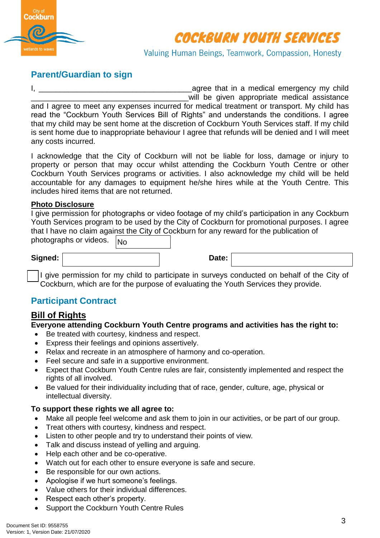

Valuing Human Beings, Teamwork, Compassion, Honesty

## **Parent/Guardian to sign**

I, the contract of the contract of the contract of the contract of the contract of the contract of the contract of the contract of the contract of the contract of the contract of the contract of the contract of the contrac will be given appropriate medical assistance and I agree to meet any expenses incurred for medical treatment or transport. My child has read the "Cockburn Youth Services Bill of Rights" and understands the conditions. I agree that my child may be sent home at the discretion of Cockburn Youth Services staff. If my child is sent home due to inappropriate behaviour I agree that refunds will be denied and I will meet any costs incurred.

I acknowledge that the City of Cockburn will not be liable for loss, damage or injury to property or person that may occur whilst attending the Cockburn Youth Centre or other Cockburn Youth Services programs or activities. I also acknowledge my child will be held accountable for any damages to equipment he/she hires while at the Youth Centre. This includes hired items that are not returned.

#### **Photo Disclosure**

I give permission for photographs or video footage of my child's participation in any Cockburn Youth Services program to be used by the City of Cockburn for promotional purposes. I agree that I have no claim against the City of Cockburn for any reward for the publication of photographs or videos.

|                                                                                                           | I give permission for my child to participate in surveys conducted on behalf of the City of<br>Cockburn, which are for the purpose of evaluating the Youth Services they provide. |  |
|-----------------------------------------------------------------------------------------------------------|-----------------------------------------------------------------------------------------------------------------------------------------------------------------------------------|--|
| <b>Participant Contract</b>                                                                               |                                                                                                                                                                                   |  |
| <b>Bill of Rights</b>                                                                                     |                                                                                                                                                                                   |  |
|                                                                                                           | Everyone attending Cockburn Youth Centre programs and activities has the right to:                                                                                                |  |
| Be treated with courtesy, kindness and respect.<br>Express their feelings and opinions assertively.<br>٠  |                                                                                                                                                                                   |  |
| $\bullet$                                                                                                 | Relax and recreate in an atmosphere of harmony and co-operation.                                                                                                                  |  |
| Feel secure and safe in a supportive environment.<br>$\bullet$                                            |                                                                                                                                                                                   |  |
| rights of all involved.                                                                                   | Expect that Cockburn Youth Centre rules are fair, consistently implemented and respect the                                                                                        |  |
| $\bullet$<br>intellectual diversity.                                                                      | Be valued for their individuality including that of race, gender, culture, age, physical or                                                                                       |  |
| To support these rights we all agree to:                                                                  |                                                                                                                                                                                   |  |
| $\bullet$                                                                                                 | Make all people feel welcome and ask them to join in our activities, or be part of our group.                                                                                     |  |
| Treat others with courtesy, kindness and respect.<br>$\bullet$<br>$\bullet$                               | Listen to other people and try to understand their points of view.                                                                                                                |  |
| Talk and discuss instead of yelling and arguing.<br>$\bullet$                                             |                                                                                                                                                                                   |  |
| Help each other and be co-operative.<br>$\bullet$                                                         |                                                                                                                                                                                   |  |
| $\bullet$                                                                                                 | Watch out for each other to ensure everyone is safe and secure.                                                                                                                   |  |
| Be responsible for our own actions.<br>$\bullet$<br>Apologise if we hurt someone's feelings.<br>$\bullet$ |                                                                                                                                                                                   |  |
| Value others for their individual differences.<br>$\bullet$                                               |                                                                                                                                                                                   |  |
|                                                                                                           |                                                                                                                                                                                   |  |
| Respect each other's property.<br>$\bullet$                                                               |                                                                                                                                                                                   |  |

## **Participant Contract**

## **Bill of Rights**

#### **Everyone attending Cockburn Youth Centre programs and activities has the right to:**

- Be treated with courtesy, kindness and respect.
- Express their feelings and opinions assertively.
- Relax and recreate in an atmosphere of harmony and co-operation.
- Feel secure and safe in a supportive environment.
- Expect that Cockburn Youth Centre rules are fair, consistently implemented and respect the rights of all involved.
- Be valued for their individuality including that of race, gender, culture, age, physical or intellectual diversity.

### **To support these rights we all agree to:**

- Make all people feel welcome and ask them to join in our activities, or be part of our group.
- Treat others with courtesy, kindness and respect.
- Listen to other people and try to understand their points of view.
- Talk and discuss instead of yelling and arguing.
- Help each other and be co-operative.
- Watch out for each other to ensure everyone is safe and secure.
- Be responsible for our own actions.
- Apologise if we hurt someone's feelings.
- Value others for their individual differences.
- Respect each other's property.
- Support the Cockburn Youth Centre Rules